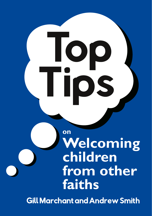**on Welcoming children from other faiths Top** Tips

Gill Marchant and Andrew Smith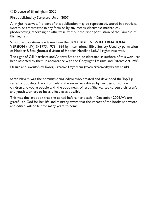© Diocese of Birmingham 2020

First published by Scripture Union 2007

All rights reserved. No part of this publication may be reproduced, stored in a retrieval system, or transmitted in any form or by any means, electronic, mechanical, photocopying, recording or otherwise, without the prior permission of the Diocese of Birmingham.

Scripture quotations are taken from the HOLY BIBLE, NEW INTERNATIONAL VERSION, (NIV), © 1973, 1978, 1984 by International Bible Society. Used by permission of Hodder & Stoughton, a division of Hodder Headline Ltd.All rights reserved.

The right of Gill Marchant and Andrew Smith to be identified as authors of this work has been asserted by them in accordance with the Copyright, Designs and Patents Act 1988.

Design and layout:Alex Taylor, Creative Daydream (www.creativedaydream.co.uk)

Sarah Mayers was the commissioning editor who created and developed the Top Tip series of booklets.The vision behind the series was driven by her passion to reach children and young people with the good news of Jesus. She wanted to equip children's and youth workers to be as effective as possible.

This was the last book that she edited before her death in December 2006.We are grateful to God for her life and ministry, aware that the impact of the books she wrote and edited will be felt for many years to come.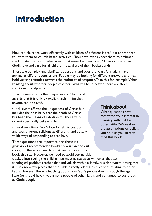# **Introduction**

How can churches work effectively with children of different faiths? Is it appropriate to invite them to church-based activities? Should we ever expect them to embrace the Christian faith, and what would that mean for their family? How can we show God's love and care for all children regardless of their background?

These are complex and significant questions and over the years Christians have arrived at different conclusions. People may be looking for different answers and may hold varying attitudes towards the authority of scripture.Take this for example.When thinking about whether people of other faiths will be in heaven there are three traditional standpoints:

• Exclusivism affirms the uniqueness of Christ and asserts that it is only by explicit faith in him that anyone can be saved.

• Inclusivism affirms the uniqueness of Christ but includes the possibility that the death of Christ has been the means of salvation for those who do not specifically believe in him.

• Pluralism affirms God's love for all his creation and sees different religions as different (and equally valid) ways of responding to that love.

These questions are important, and there is a glossary of recommended books so you can find out more, for there is a limit to what we can cover in a book this size. However, we need to avoid getting side-

## <u>Think about</u>

What questions have motivated your interest in ministry with children of other faiths?Write down the assumptions or beliefs you hold as you start to read this book.

tracked into seeing the children we meet as scalps to win or as abstract theological problems rather than individuals within a family. It is also worth noting that it is in only a few places that the Bible directly addresses questions relating to other faiths. However, there is teaching about how God's people down through the ages have (or should have) lived among people of other faiths and continued to stand out as God's people.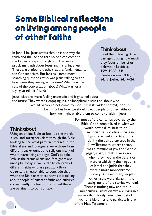# **Some Biblical reflections** on living among people of other faiths

In John 14:6, Jesus states that he is the way, the truth and the life and that no one can come to the Father except through him.This verse proclaims truth about lesus and his uniqueness. These are profound truths that are fundamental to the Christian faith. But let's ask some more searching questions: who was lesus talking to and how were they feeling at the time?What was the rest of the conversation about?What was Jesus trying to tell his friends?

### <u>Think about</u>

Read the following Bible passages asking how much they focus on belief or behaviour. Leviticus 19:9–10,33–34; Deuteronomy 10:18,19; 24:19; Joshua 24:14–24.

Jesus' disciples were feeling uncertain and frightened about the future.They weren't engaging in a philosophical discussion about who would or would not come to God. Put in its wider context, John 14:6 doesn't tell us how we should treat people of other faiths or how we might enable them to come to faith in Jesus.

### Think about

Using an online Bible to look up the words 'alien' and 'foreigner', skim through the Bible looking to see what pattern emerges. In the Bible aliens and foreigners were those from different backgrounds and religions many of whom were living amongst God's people. Whilst the terms aliens and foreigners are unhelpful today as we relate to children of different faiths who are probably British citizens, it is reasonable to conclude that when the Bible uses these terms it is talking about people of different faiths and cultures, consequently the lessons described there are pertinent to our context.

For most of the centuries covered by the Bible, God's people lived in what we would now call multi-faith or multicultural societies – living in Egypt or exiled into Babylon, or during the period covered in the New Testament, where society was a mixture of Jew and Gentile, pagan,Arian, Greek. It was only when they lived in the desert or were establishing the kingdoms of Israel and Judah that they were a more monochrome society. But even then, people of other faiths were always in the background of the stories we read. There is nothing new about our multicultural situation.We are living in a society that closely resembles that of much of Bible times, and particularly that of the New Testament.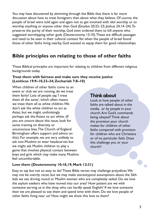You may have discovered by skimming through the Bible that there is far more discussion about how to treat foreigners than about what they believe. Of course, the people of Israel were told again and again not to get involved with idol worship or to worship anything or anyone other than God (Exodus 20:22–23; Joshua 24:14–24).To preserve the purity of their worship, God even ordered them to kill anyone who suggested worshipping other gods (Deuteronomy 13:10).These are difficult passages and need to be seen in their cultural context.Yet when the people of Israel found those of other faiths living nearby, God wanted to equip them for good relationships.

## **Bible principles on relating to those of other faiths**

These Biblical principles are important for relating to children from different religious backgrounds today.

#### **Treat them with fairness and make sure they receive justice (Leviticus 19:9–10,33–34; Zechariah 7:8–10)**

When children of other faiths come to an event or club we are running, do we treat them fairly? Lots of people say,'I treat them all the same', which often means we treat them all as white children. We don't ask the white children to act as Asian, but we might, unthinkingly perhaps ask the Asians to act white. (If you are unsure about this issue, look for some training on diversity or unconscious bias,The Church of England Birmingham offers support and advice on this). For example, we are very unlikely to ask non-Muslims to wear headscarves but we might ask Muslim children to play a game that involves physical contact between boys and girls which may make many Muslims feel uncomfortable.

## <u>Think about</u>

Look at how people of other faiths are talked about in the media, or by people in your church.Are God's commands being obeyed? Think about the provision your church makes for children of other faiths compared with provision for children who are Christians or of no particular faith. Does this challenge you or your church?

#### **Love them (Deuteronomy 10:18,19; Mark 12:31)**

Easy to say but not so easy to do! These Bible verses may challenge prejudices.We may not be overtly racist, but we may make stereotypical assumptions about the Sikh lads we see driving round or Muslim women who are completely veiled. Do we love the asylum seekers who have moved into our area? How patient are we with someone serving us in the shop who can hardly speak English? If we love someone then we are pleased to see them and spend time with them. Do we love people of other faiths living near us? How might we show this love to them?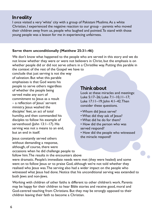I once visited a very 'white' city with a group of Pakistani Muslims.As a white Christian, I experienced the negative reaction to our group – parents who moved their children away from us, people who laughed and pointed.To stand with those young people was a lesson for me in experiencing unfairness.

#### **Serve them unconditionally (Matthew 25:31–46)**

We don't know what happened to the people who are served in this story and we do not know whether they were or were not believers in Christ, but the emphasis is on whether people did or did not serve others in a Christlike way. Putting this parable in the context of the rest of the Gospel we have to

conclude that just serving is not the way of salvation. But what this parable emphasises is that God wants his people to serve others regardless of whether the people being served make any sort of commitment to Jesus as a result – a reflection of lesus' servant ministry. Jesus washed the disciples' feet, an act of total humility, and then commanded his disciples to follow his example of servanthood (John 13:1–17). His serving was not a means to an end, but an end in itself.

Jesus constantly served others without demanding a response, although, of course, there were occasions when he did challenge people to follow him. The results in the encounters above

## <u>Think about</u>

Look at these miracles and meetings: Luke 5:17–26; Luke 7:1–10,11–17; Luke 17:11-19; John 4:1-42. Then consider these questions.

- Whom did lesus serve?
- What did they ask of lesus?
- •What did he do for them?
- How did the person who was served respond?
- How did the people who witnessed the miracle respond?

were dramatic. People's immediate needs were met (they were healed) and some went on to follow Jesus or to praise God, although we're not told whether they realised who Jesus was.The serving also had a wider impact on the people who witnessed what Jesus had done. Notice that his unconditional serving was extended to both Jews and non-Jews.

Working with children of other faiths is different to other children's work. Parents may be happy for their children to hear Bible stories and receive good, moral and God-centred teaching from Christians. But they may be strongly opposed to their children leaving their faith to become a Christian.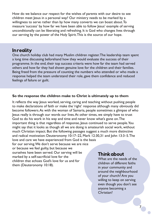How do we balance our respect for the wishes of parents with our desire to see children meet lesus in a personal way? Our ministry needs to be marked by a willingness to serve rather than by how many converts we can boast about.To measure 'success' by how far we have been able to follow Jesus' example of serving unconditionally can be liberating and refreshing. It is God who changes lives through our serving by the power of the Holy Spirit.This is the source of our hope.

## **In reality**

One church holiday club had many Muslim children register.The leadership team spent a long time discussing beforehand how they would evaluate the success of their programme. In the end, their top success criteria were how far the team had served others and how far they had shown genuine love for the children and their families. Being freed from the pressure of counting the numbers who attended or who made a response helped the team understand their role, gave them confidence and reduced feelings of failure or guilt.

#### **So the response the children make to Christ is ultimately up to them**

It reflects the way Jesus worked, serving, caring and teaching without pushing people to make declarations of faith or make the 'right' response although many obviously did become followers.As with the woman of Samaria, people sometimes a glimpse of who Jesus really is through our words our lives.At other times, we simply have to trust God to do his work in his way and time and never know what's gone on.The important thing is that regardless of response, Jesus continued to serve people.You might say that it looks as though all we are doing is amateurish social work, without much Christian impact. But the following passages suggest a much more distinctive and radical motivation: Deuteronomy 10:17–22, Mark 12:30,31 and John 13:3–5.The love and care we have experienced from God is the basis for our serving.We don't serve because we are nice

or because we feel guilty, but because we ourselves have been served. Our serving will be marked by a self-sacrificial love for the children that echoes God's love for us and for them (Deuteronomy 10:18).

## <u>Think about</u>

What are the needs of the children of different faiths in your community and around the neighbourhood of your church? Are you willing to keep on serving even though you don't see anyone becoming a Christian?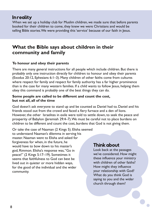When we set up a holiday club for Muslim children, we made sure that before parents booked for their children to come, they knew we were Christians and would be telling Bible stories.We were providing this'service' because of our faith in Jesus.

## **What the Bible says about children in their community and family**

#### **To honour and obey their parents**

There are many general instructions for all people which include children. But there is probably only one instruction directly for children: to honour and obey their parents (Exodus 20:12, Ephesians 6:1–3). Many children of other faiths come from cultures where respect for family and respect for family authority has a far higher prominence than is the case for many western families. If a child wants to follow lesus, helping them obey this command is probably one of the best things they can do.

#### **Some people are called to be different and count the cost, but not all, all of the time**

God doesn't ask everyone to stand up and be counted as Daniel had to. Daniel and his friends stood out from the crowd and faced a fiery furnace and a den of lions. However, the other Israelites in exile were told to settle down, to seek the peace and prosperity of Babylon (Jeremiah 29:4–7).We must be careful not to place burdens on children to be different and count the cost, burdens that God is not giving them.

Or take the case of Naaman (2 Kings 5). Elisha seemed to understand Naaman's dilemma in serving his master. Naaman went to Elisha and asked for forgiveness for when, in the future, he would have to bow down to his master's god, Rimmon. Elisha's response was,"Go in peace!" (2 Kings 5:17–19). Sometimes it seems that faithfulness to God can best be lived out in quieter or more hidden ways, for the good of the individual and the wider community.

## <u>Think about</u>

Look back at the passages we've considered. How might these influence your ministry with children of other faiths? How might they influence your relationship with God? What do you think God is saying to you and the wider church through them?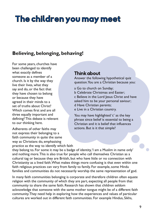# **The children you may meet**

## **Believing, belonging, behaving!**

For some years, churches have been challenged to identify what exactly defines someone as a member of a church. Is it by the way they live their lives, what they say and do, or the fact that they have chosen to belong or because they have agreed in their minds to a set of truths about Christ? Which comes first and are all three equally important and defining? This debate is relevant to our thinking here.

Adherents of other faiths may not express their belonging to a faith community in quite the same way as Christians do, emphasising practice as the way to identify which faith

## <u>Think about</u>

Answer the following hypothetical quiz question.You are a Christian because you:

- a Go to church on Sunday;
- b Celebrate Christmas and Easter;
- c Believe in the Lord Jesus Christ and have asked him to be your personal saviour; d Have Christian parents;
- e Live in a Christian country.

You may have highlighted 'c' as the key phrase since belief is essential to being a Christian and it is belief that influences actions. But is it that simple?

they belong to. For some it may be a badge of identity,'I am a Muslim in name only' and nothing more.This is also true for people who call themselves Christian as a cultural tag or because they are British, but who have little or no connection with Christianity as a lived faith.What makes things more confusing is that even within one faith religious practices can vary from family to family. For example, some Hindu families and communities do not necessarily worship the same representation of god.

In many faith communities belonging is corporate and therefore children often equate religion with the community of which they are part, expecting all people from that community to share the same faith. Research has shown that children seldom acknowledge that someone with the same mother tongue might be of a different faith community.They need help in exploring how the experiences and values of particular cultures are worked out in different faith communities. For example Hindus, Sikhs,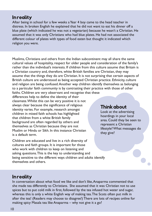After being in school for a few weeks a Year 4 boy came to the head teacher in distress. In broken English he explained that he did not want to eat his dinner off a blue plate (which indicated he was not a vegetarian) because he wasn't a Christian. He assumed that it was only Christians who had blue plates. He had not associated the different colour of plates with types of food eaten but thought it indicated which religion you were.

Muslims, Christians and others from the Indian subcontinent may all share the same cultural values of hospitality, respect for older people and consideration of the family's rather than the individual's interests. If children from this culture assume that Britain is a Christian country and, therefore, white British families are Christian, they may assume that the things they do are Christian. It is not surprising that certain aspects of British culture are understood as being accepted Christian practice. Ethnicity, culture and religion are being confused.Another way children identify themselves as belonging to a particular faith community is by contrasting their practice with those of other faiths. Children are very observant and recognise that these

differences help to define the identity of their classmate.Whilst this can be very positive it is not always clear because the significance of religious identity varies. For example, research amongst children in mixed faith schools has highlighted that children from a white British family background are often regarded by others and themselves as Christian because they are not Muslim or Hindu or Sikh. In this instance Christian is a default term.

Children are educated and live in a rich diversity of cultures and faith groups. It is important for those who work with children to keep on listening and asking questions.This is the key to understanding and being sensitive to the different ways children and adults identify themselves and others.

## <u>Think about</u>

Look at the advertising hoardings in your local area. Could they be seen to represent a Christian lifestyle?What messages do they give?

## **In reality**

In conversation about what food we like and don't like,Anaparma commented that she made tea differently to Christians. She assumed that it was Christian not to use spices but to put cold milk in first, followed by the tea infused hot water and sugar, whereas this is only a white English way of making tea.The Scots often put milk in after the tea! (Readers may choose to disagree!) There are lots of recipes online for making spicy Masala tea like Anaparma – why not give it a go?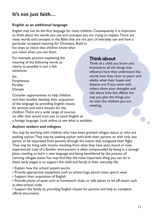# **It's not just faith…**

#### **English as an additional language**

English may not be the first language for many children. Consequently, it is important to think about the words you use and concepts you are trying to explain.There are many words and concepts in the Bible that are not part of everyday use and have a particular accepted meaning for Christians. Build in

fun ways to check that children know what you mean when you use them.

For example, practice explaining the meaning of the following words as clearly as possible in just a few sentences.

Sin Forgiveness Parable Disciple

Consider opportunities to help children and their families develop their acquisition of the language by providing English classes for parents and extra lessons for the children.There are a wide range of courses on offer that would train you to teach English as a foreign language. Look online to see what is available.

## <u>Think about</u>

Think of a child you know and brainstorm all the things that influence how they understand the world, how they react to peers and adults, what their hopes and dreams are. If you work with others share your thoughts and talk about how this affects the way you plan the things you do with the children you are meeting.

#### **Asylum seekers and refugees**

You may be working with children who have been granted refugee status or who are seeking asylum.They may be seeking asylum with both their parents or with only one parent or be separated from parents through the events that instigated their flight. They may be living with trauma resulting from what they have seen, heard or even experienced. Loss of a familiar environment is often compounded by being in a strange place, needing to learn a new language and being bewildered by the process of claiming refugee status.You may find that the most important thing you can do in these early stages is to support the child and family in their everyday life:

- Explain how the school system works
- Provide appropriate equipment such as school bags, pencil cases, sports wear
- Support their acquisition of English

• Provide places of quiet such as homework clubs, or safe places to let off steam such as after-school clubs

• Support the family by providing English classes for parents and help to complete official documents.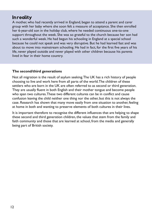A mother, who had recently arrived in England, began to attend a parent and carer group with her baby where she soon felt a measure of acceptance. She then enrolled her 6-year-old son in the holiday club, where he needed continuous one-to-one support throughout the week. She was so grateful to the church because her son had such a wonderful week. He had begun his schooling in England at a special school because he could not speak and was very disruptive. But he had learned fast and was about to move into mainstream schooling. He had in fact, for the first five years of his life, never played outside and never played with other children because his parents lived in fear in their home country.

#### **The second/third generations**

Not all migration is the result of asylum seeking.The UK has a rich history of people choosing to live and work here from all parts of the world.The children of these settlers who are born in the UK are often referred to as second or third generation. They are usually fluent in both English and their mother tongue and become people who span two cultures.These two different cultures can be in conflict and cause confusion leaving the child neither one thing nor the other, but this is not always the case. Research has shown that many move easily from one situation to another, feeling at home in both and wanting to preserve elements of both cultures in their lives.

It is important therefore to recognise the different influences that are helping to shape these second and third generation children, the values that stem from the family and faith community and those that are learned at school, from the media and generally being part of British society.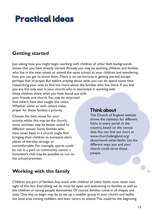# **Practical ideas**

## **Getting started**

Just asking how you might begin working with children of other faith backgrounds shows that you have already started.Already you may be spotting children and families who live in the next street or attend the same school as your children and wondering how you can get to know them.There is no set formula in getting started except perhaps that of prayer. But before praying about what you can do spend some time researching your area to find out more about the families who live there. If you feel you are the only one in your church who is interested in working with

these children share what you have found out with your friends and church.You may be surprised that others have also caught the vision. Whether alone or with others make prayer for these families a priority.

Choose the best venue for your activity, whilst this may be the church, some activities may be better suited to different venues. Some families who have never been in a church might find bringing their children to someone else's places of worship strange or uncomfortable. For example, sports could be run in a park or community centre, a homework club may be possible to run on the school premises.

## <u>Think about</u>

The Church of England website shows the statistics for different faiths in every parish in the country, based on the census data.You can find out more at www.churchofengland.org/ about/work-other-faiths. List the different ways you and your church could serve those people.

## **Working with the family**

Children are part of families.Any work with children of other faiths must never lose sight of this fact. Everything we do must be open and welcoming to families as well as the children or young people themselves. Of course, families come in all shapes and sizes. One way to begin may be to set up a toddler group in your church and leaflet the local area inviting toddlers and their carers to attend.This could be the beginning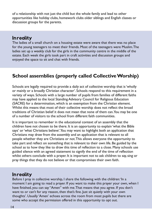of a relationship with not just the child but the whole family and lead to other opportunities like holiday clubs, homework clubs older siblings and English classes or discussion groups for the parents.

## **In reality**

The ladies of a small church on a housing estate were aware that there was no place for the young teenagers to meet their friends. Most of the teenagers were Muslim.The ladies set up a weekly club for the girls in the community centre in the middle of the estate. Each week the girls took part in craft activities and discussion groups and enjoyed the space to sit and chat with friends.

# **School assemblies (properly called CollectiveWorship)**

Schools are legally required to provide a daily act of collective worship that is'wholly or mainly or a broadly Christian character'. Schools respond to this requirement in a variety of ways. Schools with a large number of pupils from families of different faiths may have applied to the local Standing Advisory Council for Religious Education (SACRE) for a determination, which is an exemption from the Christian element. Whilst this means that most of their collective worship does not reflect the broad traditions of Christian belief it does not mean that none of them can.You may be one of a number of visitors to the school from different faith communities.

It is important to remember in the educational context of an assembly that the children have not chosen to be there. It is an opportunity to explain 'what the Bible says' or'what Christians believe'.You may want to highlight both an application that Christians may draw from the assembly and an application that is relevant to all people whether they are Christians or not.This allows everyone the opportunity to take part and reflect on something that is relevant to their own life. Be guided by the school as to how they like to draw this time of reflection to a close. Many schools use guided silence with an agreed statement to signify the end of the time of reflection whilst others conclude with a prayer. It is important not to ask children to say,sing or pray things that they do not believe or that compromises their own faith.

## **In reality**

Before I pray in collective worship, I share the following with the children: 'In a moment I am going to read a prayer. If you want to make this prayer your own, when I have finished, you can say "Amen" with me.That means that you agree. If you don't want to or can't for any reason, then that's fine. Just sit quietly with your own thoughts'. Usually 'Amen' echoes across the room from most pupils but there are some who accept the permission offered in this opportunity to opt out.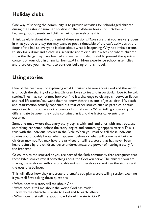# **Holiday clubs**

One way of serving the community is to provide activities for school-aged children during the Easter or summer holidays or the half-term breaks of October and February. Both parents and children will often welcome this.

Think carefully about the content of these sessions. Make sure that you are very open in what you do and say.You may want to post a timetable of the day's activities at the door of the hall so everyone is clear about what is happening.Why not invite parents to stay for a drink and a chat in a separate room or build in a session where children show the things they have learned and made? It is also useful to present the spiritual content of your club in a familiar format.All children experience school assemblies and therefore you may want to consider building on this model.

## **Using stories**

One of the best ways of explaining what Christians believe about God and the world is through the sharing of stories. Children love stories and in particular love to be told stories.They may sometimes however find it a challenge to distinguish between fiction and real-life stories.You want them to know that the events of Jesus' birth, life, death and resurrection actually happened but that other stories, such as parables, contain important truths but are not accounts of actual events.When telling a story, try to differentiate between the truths contained in it and the historical events that occurred.

Someone once wrote that every story begins with 'and' and ends with 'and', because something happened before the story begins and something happens after it.This is true with the individual stories in the Bible.When you read or tell these individual stories you probably know what happened before or what will come next but the children may not.You may have the privilege of telling a story that has never been heard before by the children. Never underestimate the power of hearing a story for the first time!

Of course, as the storyteller, you are part of the faith community that recognises that these Bible stories reveal something about the God you serve.The children you are sharing these stories with are probably not and therefore cannot see the stories with the eyes of a believer.

This will affect how they understand them.As you plan a storytelling session examine it yourself first, asking these questions:

- •What does this story tell me about God?
- •What does it tell me about the world God has made?
- How do the characters relate to God and to each other?
- •What does that tell me about how I should relate to God?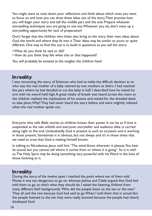You might want to note down your reflections and think about which ones you want to focus on and how you can draw these ideas out of the story.Then practise how you will begin your story and tell the middle part and the end. Prepare whatever storytelling techniques you are going to use too.Whatever you do, don't mess up a storytelling opportunity for lack of preparation!

Don't forget that the children who listen also bring to the story their own ideas about God, the world and where they fit into it.Their ideas may be similar to yours or quite different. One way to find this out is to build in questions as you tell the story:

- •What do you think he said or did?
- How do you think they felt when this or that happened?

You will probably be amazed at the insights the children have!

### **In reality**

I was recounting the story of Solomon who had to make the difficult decision as to who was the real mother of a baby claimed by two mothers as theirs. I had reached the part where he had decided to cut the baby in half. I described how he raised his arm with his sword held high.A great intake of breath was heard across the room as the children realised the implications of his actions and waited for the dreaded deed to take place.Why? They had never heard the story before and were mightily relieved when the real mother spoke out.

Everyone who tells Bible stories to children knows their power. It can be as if time is suspended as the tale unfolds and everyone, storyteller and audience alike, is carried along right to the end. Undoubtedly God is present at such an occasion and is working in those present. Sometimes it is obvious, but not always and it's in those times that we need to trust that God is making himself known.

In talking to Nicodemus, Jesus told him, "The wind blows wherever it pleases. You hear its sound, but you cannot tell where it comes from or where it is going". So it is with us.The Holy Spirit may be doing something very powerful with hisWord in the lives of those listening to it.

## **In reality**

During the story of the twelve spies I reached the point where ten of them told Moses it was too dangerous to go on, whereas Joshua and Caleb argued that God had told them to go,so that's what they should do. I asked the listening children from many different faith backgrounds,'Who did the people listen to, the ten or the two?' They all said the two because God had said to go.When I told them that in actual fact the people listened to the ten they were really stunned because the people had clearly disobeyed God.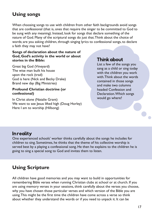# **Using songs**

When choosing songs to use with children from other faith backgrounds avoid songs that are confessional (that is, ones that require the singer to be committed to God to be sung with any meaning). Instead, look for songs that declare something of the nature of God. Many of the scriptural songs do just that.Think about the choice of words; are you asking children, through singing lyrics to confessional songs, to declare a faith they may not have?

#### **Songs of declaration about the nature of God, God's activity in the world or about stories in the Bible:**

Great big God (Vineyard) The wise man built his house upon the rock (trad) God is here (Nick and Becky Drake) Brand new day (Big Ministries)

#### **Profound Christian doctrine (or confessional)**

In Christ alone (Natalie Grant) We want to see Jesus lifted high (Doug Horley) Here I am to worship (Hillsong)

## <u>Think about</u>

List a few of the songs you sang as a child or sing today with the children you work with.Think about the words contained in those songs and make two columns headed Confession and Declaration.Which songs would go where?

## **In reality**

One experienced schools' worker thinks carefully about the songs he includes for children to sing. Sometimes, he thinks that the theme of his collective worship is served best by a playing a confessional song. He then he explains to the children he is going to sing a special song to God and invites them to listen.

# **Using Scripture**

All children have good memories and you may want to build in opportunities for remembering Bible verses when running Christian clubs at school or at church. If you are using memory verses in your sessions, think carefully about the verses you choose, why you have chosen those particular verses and which version of the Bible you are using.This might be the first time the children have come across a verse so think about whether they understand the words or if you need to unpack it. It can be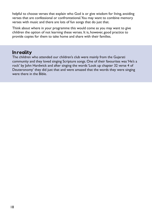helpful to choose verses that explain who God is or give wisdom for living, avoiding verses that are confessional or confrontational.You may want to combine memory verses with music and there are lots of fun songs that do just that.

Think about where in your programme this would come as you may want to give children the option of not learning these verses. It is, however, good practice to provide copies for them to take home and share with their families.

## In reality

The children who attended our children's club were mainly from the Gujarati community and they loved singing Scripture songs. One of their favourites was'He's a rock' by John Hardwick and after singing the words'Look up chapter 32 verse 4 of Deuteronomy' they did just that and were amazed that the words they were singing were there in the Bible.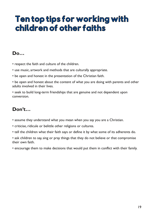# **Ten top tips for working with** children of other faiths

## **Do…**

- respect the faith and culture of the children.
- use music, artwork and methods that are culturally appropriate.
- be open and honest in the presentation of the Christian faith.
- be open and honest about the content of what you are doing with parents and other adults involved in their lives.
- seek to build long-term friendships that are genuine and not dependent upon conversion.

# **Don't…**

- assume they understand what you mean when you say you are a Christian.
- criticise, ridicule or belittle other religions or cultures.
- tell the children what their faith says or define it by what some of its adherents do.
- ask children to say, sing or pray things that they do not believe or that compromise their own faith.
- encourage them to make decisions that would put them in conflict with their family.